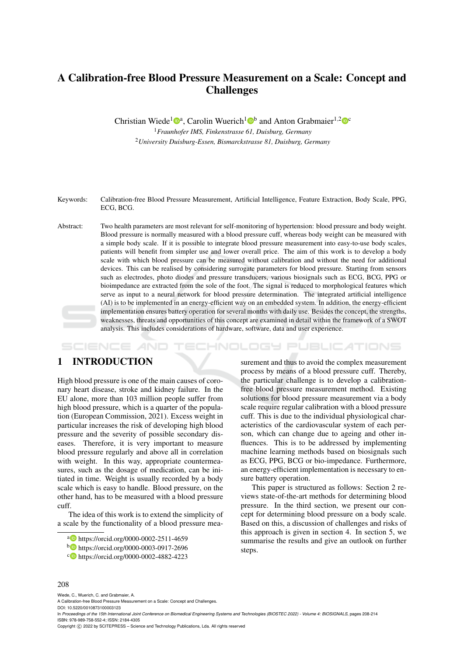# A Calibration-free Blood Pressure Measurement on a Scale: Concept and Challenges

Christian Wiede<sup>1</sup><sup>®</sup><sup>a</sup>, Carolin Wuerich<sup>1</sup><sup>®</sup> and Anton Grabmaier<sup>1,2</sup><sup>®</sup>

<sup>1</sup>*Fraunhofer IMS, Finkenstrasse 61, Duisburg, Germany* <sup>2</sup>*University Duisburg-Essen, Bismarckstrasse 81, Duisburg, Germany*

Keywords: Calibration-free Blood Pressure Measurement, Artificial Intelligence, Feature Extraction, Body Scale, PPG, ECG, BCG.

Abstract: Two health parameters are most relevant for self-monitoring of hypertension: blood pressure and body weight. Blood pressure is normally measured with a blood pressure cuff, whereas body weight can be measured with a simple body scale. If it is possible to integrate blood pressure measurement into easy-to-use body scales, patients will benefit from simpler use and lower overall price. The aim of this work is to develop a body scale with which blood pressure can be measured without calibration and without the need for additional devices. This can be realised by considering surrogate parameters for blood pressure. Starting from sensors such as electrodes, photo diodes and pressure transducers, various biosignals such as ECG, BCG, PPG or bioimpedance are extracted from the sole of the foot. The signal is reduced to morphological features which serve as input to a neural network for blood pressure determination. The integrated artificial intelligence (AI) is to be implemented in an energy-efficient way on an embedded system. In addition, the energy-efficient implementation ensures battery operation for several months with daily use. Besides the concept, the strengths, weaknesses, threats and opportunities of this concept are examined in detail within the framework of a SWOT analysis. This includes considerations of hardware, software, data and user experience.

HNOLOGY PUBLICATIONS SCIENCE *A*NI

## 1 INTRODUCTION

High blood pressure is one of the main causes of coronary heart disease, stroke and kidney failure. In the EU alone, more than 103 million people suffer from high blood pressure, which is a quarter of the population (European Commission, 2021). Excess weight in particular increases the risk of developing high blood pressure and the severity of possible secondary diseases. Therefore, it is very important to measure blood pressure regularly and above all in correlation with weight. In this way, appropriate countermeasures, such as the dosage of medication, can be initiated in time. Weight is usually recorded by a body scale which is easy to handle. Blood pressure, on the other hand, has to be measured with a blood pressure cuff.

The idea of this work is to extend the simplicity of a scale by the functionality of a blood pressure mea-

surement and thus to avoid the complex measurement process by means of a blood pressure cuff. Thereby, the particular challenge is to develop a calibrationfree blood pressure measurement method. Existing solutions for blood pressure measurement via a body scale require regular calibration with a blood pressure cuff. This is due to the individual physiological characteristics of the cardiovascular system of each person, which can change due to ageing and other influences. This is to be addressed by implementing machine learning methods based on biosignals such as ECG, PPG, BCG or bio-impedance. Furthermore, an energy-efficient implementation is necessary to ensure battery operation.

This paper is structured as follows: Section 2 reviews state-of-the-art methods for determining blood pressure. In the third section, we present our concept for determining blood pressure on a body scale. Based on this, a discussion of challenges and risks of this approach is given in section 4. In section 5, we summarise the results and give an outlook on further steps.

#### 208

Wiede, C., Wuerich, C. and Grabmaier, A.

A Calibration-free Blood Pressure Measurement on a Scale: Concept and Challenges. DOI: 10.5220/0010873100003123

In *Proceedings of the 15th International Joint Conference on Biomedical Engineering Systems and Technologies (BIOSTEC 2022) - Volume 4: BIOSIGNALS*, pages 208-214 ISBN: 978-989-758-552-4; ISSN: 2184-4305

Copyright (C) 2022 by SCITEPRESS - Science and Technology Publications, Lda. All rights reserved

a https://orcid.org/0000-0002-2511-4659

<sup>b</sup> https://orcid.org/0000-0003-0917-2696

<sup>c</sup> https://orcid.org/0000-0002-4882-4223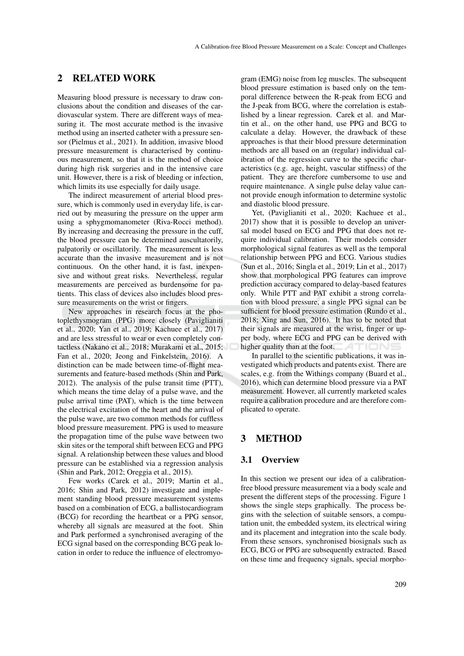### 2 RELATED WORK

Measuring blood pressure is necessary to draw conclusions about the condition and diseases of the cardiovascular system. There are different ways of measuring it. The most accurate method is the invasive method using an inserted catheter with a pressure sensor (Pielmus et al., 2021). In addition, invasive blood pressure measurement is characterised by continuous measurement, so that it is the method of choice during high risk surgeries and in the intensive care unit. However, there is a risk of bleeding or infection, which limits its use especially for daily usage.

The indirect measurement of arterial blood pressure, which is commonly used in everyday life, is carried out by measuring the pressure on the upper arm using a sphygmomanometer (Riva-Rocci method). By increasing and decreasing the pressure in the cuff, the blood pressure can be determined auscultatorily, palpatorily or oscillatorily. The measurement is less accurate than the invasive measurement and is not continuous. On the other hand, it is fast, inexpensive and without great risks. Nevertheless, regular measurements are perceived as burdensome for patients. This class of devices also includes blood pressure measurements on the wrist or fingers.

New approaches in research focus at the photoplethysmogram (PPG) more closely (Paviglianiti et al., 2020; Yan et al., 2019; Kachuee et al., 2017) and are less stressful to wear or even completely contactless (Nakano et al., 2018; Murakami et al., 2015; Fan et al., 2020; Jeong and Finkelstein, 2016). A distinction can be made between time-of-flight measurements and feature-based methods (Shin and Park, 2012). The analysis of the pulse transit time (PTT), which means the time delay of a pulse wave, and the pulse arrival time (PAT), which is the time between the electrical excitation of the heart and the arrival of the pulse wave, are two common methods for cuffless blood pressure measurement. PPG is used to measure the propagation time of the pulse wave between two skin sites or the temporal shift between ECG and PPG signal. A relationship between these values and blood pressure can be established via a regression analysis (Shin and Park, 2012; Oreggia et al., 2015).

Few works (Carek et al., 2019; Martin et al., 2016; Shin and Park, 2012) investigate and implement standing blood pressure measurement systems based on a combination of ECG, a ballistocardiogram (BCG) for recording the heartbeat or a PPG sensor, whereby all signals are measured at the foot. Shin and Park performed a synchronised averaging of the ECG signal based on the corresponding BCG peak location in order to reduce the influence of electromyo-

gram (EMG) noise from leg muscles. The subsequent blood pressure estimation is based only on the temporal difference between the R-peak from ECG and the J-peak from BCG, where the correlation is established by a linear regression. Carek et al. and Martin et al., on the other hand, use PPG and BCG to calculate a delay. However, the drawback of these approaches is that their blood pressure determination methods are all based on an (regular) individual calibration of the regression curve to the specific characteristics (e.g. age, height, vascular stiffness) of the patient. They are therefore cumbersome to use and require maintenance. A single pulse delay value cannot provide enough information to determine systolic and diastolic blood pressure.

Yet, (Paviglianiti et al., 2020; Kachuee et al., 2017) show that it is possible to develop an universal model based on ECG and PPG that does not require individual calibration. Their models consider morphological signal features as well as the temporal relationship between PPG and ECG. Various studies (Sun et al., 2016; Singla et al., 2019; Lin et al., 2017) show that morphological PPG features can improve prediction accuracy compared to delay-based features only. While PTT and PAT exhibit a strong correlation with blood pressure, a single PPG signal can be sufficient for blood pressure estimation (Rundo et al., 2018; Xing and Sun, 2016). It has to be noted that their signals are measured at the wrist, finger or upper body, where ECG and PPG can be derived with higher quality than at the foot.

In parallel to the scientific publications, it was investigated which products and patents exist. There are scales, e.g. from the Withings company (Buard et al., 2016), which can determine blood pressure via a PAT measurement. However, all currently marketed scales require a calibration procedure and are therefore complicated to operate.

## 3 METHOD

#### 3.1 Overview

In this section we present our idea of a calibrationfree blood pressure measurement via a body scale and present the different steps of the processing. Figure 1 shows the single steps graphically. The process begins with the selection of suitable sensors, a computation unit, the embedded system, its electrical wiring and its placement and integration into the scale body. From these sensors, synchronised biosignals such as ECG, BCG or PPG are subsequently extracted. Based on these time and frequency signals, special morpho-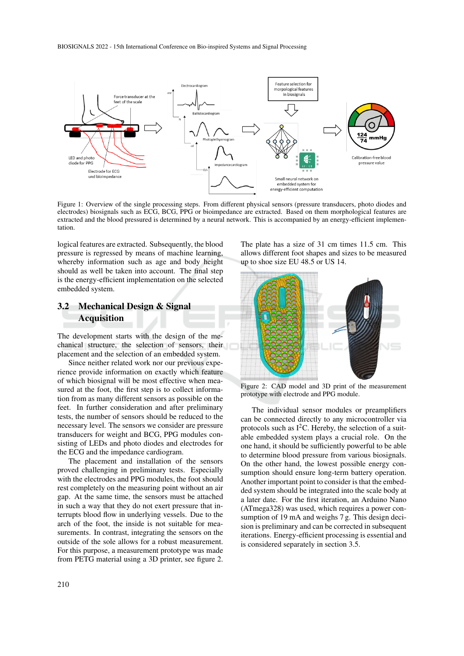

Figure 1: Overview of the single processing steps. From different physical sensors (pressure transducers, photo diodes and electrodes) biosignals such as ECG, BCG, PPG or bioimpedance are extracted. Based on them morphological features are extracted and the blood pressured is determined by a neural network. This is accompanied by an energy-efficient implementation.

logical features are extracted. Subsequently, the blood pressure is regressed by means of machine learning, whereby information such as age and body height should as well be taken into account. The final step is the energy-efficient implementation on the selected embedded system.

## 3.2 Mechanical Design & Signal Acquisition

The development starts with the design of the mechanical structure, the selection of sensors, their placement and the selection of an embedded system.

Since neither related work nor our previous experience provide information on exactly which feature of which biosignal will be most effective when measured at the foot, the first step is to collect information from as many different sensors as possible on the feet. In further consideration and after preliminary tests, the number of sensors should be reduced to the necessary level. The sensors we consider are pressure transducers for weight and BCG, PPG modules consisting of LEDs and photo diodes and electrodes for the ECG and the impedance cardiogram.

The placement and installation of the sensors proved challenging in preliminary tests. Especially with the electrodes and PPG modules, the foot should rest completely on the measuring point without an air gap. At the same time, the sensors must be attached in such a way that they do not exert pressure that interrupts blood flow in underlying vessels. Due to the arch of the foot, the inside is not suitable for measurements. In contrast, integrating the sensors on the outside of the sole allows for a robust measurement. For this purpose, a measurement prototype was made from PETG material using a 3D printer, see figure 2.

The plate has a size of 31 cm times 11.5 cm. This allows different foot shapes and sizes to be measured up to shoe size EU 48.5 or US 14.



Figure 2: CAD model and 3D print of the measurement prototype with electrode and PPG module.

The individual sensor modules or preamplifiers can be connected directly to any microcontroller via protocols such as  $I<sup>2</sup>C$ . Hereby, the selection of a suitable embedded system plays a crucial role. On the one hand, it should be sufficiently powerful to be able to determine blood pressure from various biosignals. On the other hand, the lowest possible energy consumption should ensure long-term battery operation. Another important point to consider is that the embedded system should be integrated into the scale body at a later date. For the first iteration, an Arduino Nano (ATmega328) was used, which requires a power consumption of 19 mA and weighs 7 g. This design decision is preliminary and can be corrected in subsequent iterations. Energy-efficient processing is essential and is considered separately in section 3.5.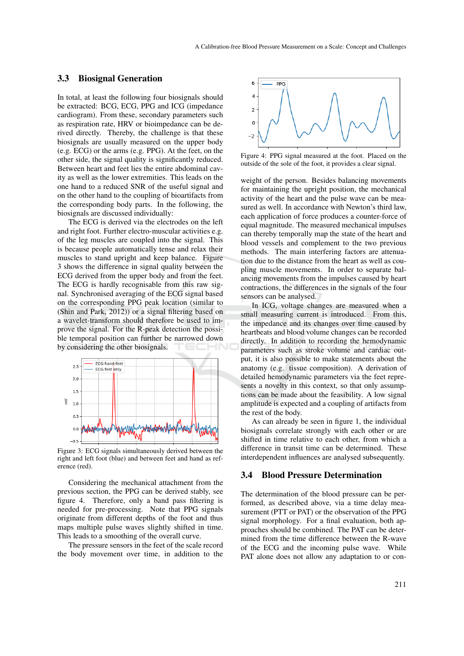### 3.3 Biosignal Generation

In total, at least the following four biosignals should be extracted: BCG, ECG, PPG and ICG (impedance cardiogram). From these, secondary parameters such as respiration rate, HRV or bioimpedance can be derived directly. Thereby, the challenge is that these biosignals are usually measured on the upper body (e.g. ECG) or the arms (e.g. PPG). At the feet, on the other side, the signal quality is significantly reduced. Between heart and feet lies the entire abdominal cavity as well as the lower extremities. This leads on the one hand to a reduced SNR of the useful signal and on the other hand to the coupling of bioartifacts from the corresponding body parts. In the following, the biosignals are discussed individually:

The ECG is derived via the electrodes on the left and right foot. Further electro-muscular activities e.g. of the leg muscles are coupled into the signal. This is because people automatically tense and relax their muscles to stand upright and keep balance. Figure 3 shows the difference in signal quality between the ECG derived from the upper body and from the feet. The ECG is hardly recognisable from this raw signal. Synchronised averaging of the ECG signal based on the corresponding PPG peak location (similar to (Shin and Park, 2012)) or a signal filtering based on a wavelet-transform should therefore be used to improve the signal. For the R-peak detection the possible temporal position can further be narrowed down by considering the other biosignals. ЮN



Figure 3: ECG signals simultaneously derived between the right and left foot (blue) and between feet and hand as reference (red).

Considering the mechanical attachment from the previous section, the PPG can be derived stably, see figure 4. Therefore, only a band pass filtering is needed for pre-processing. Note that PPG signals originate from different depths of the foot and thus maps multiple pulse waves slightly shifted in time. This leads to a smoothing of the overall curve.

The pressure sensors in the feet of the scale record the body movement over time, in addition to the



Figure 4: PPG signal measured at the foot. Placed on the outside of the sole of the foot, it provides a clear signal.

weight of the person. Besides balancing movements for maintaining the upright position, the mechanical activity of the heart and the pulse wave can be measured as well. In accordance with Newton's third law, each application of force produces a counter-force of equal magnitude. The measured mechanical impulses can thereby temporally map the state of the heart and blood vessels and complement to the two previous methods. The main interfering factors are attenuation due to the distance from the heart as well as coupling muscle movements. In order to separate balancing movements from the impulses caused by heart contractions, the differences in the signals of the four sensors can be analysed.

In ICG, voltage changes are measured when a small measuring current is introduced. From this, the impedance and its changes over time caused by heartbeats and blood volume changes can be recorded directly. In addition to recording the hemodynamic parameters such as stroke volume and cardiac output, it is also possible to make statements about the anatomy (e.g. tissue composition). A derivation of detailed hemodynamic parameters via the feet represents a novelty in this context, so that only assumptions can be made about the feasibility. A low signal amplitude is expected and a coupling of artifacts from the rest of the body.

As can already be seen in figure 1, the individual biosignals correlate strongly with each other or are shifted in time relative to each other, from which a difference in transit time can be determined. These interdependent influences are analysed subsequently.

#### 3.4 Blood Pressure Determination

The determination of the blood pressure can be performed, as described above, via a time delay measurement (PTT or PAT) or the observation of the PPG signal morphology. For a final evaluation, both approaches should be combined. The PAT can be determined from the time difference between the R-wave of the ECG and the incoming pulse wave. While PAT alone does not allow any adaptation to or con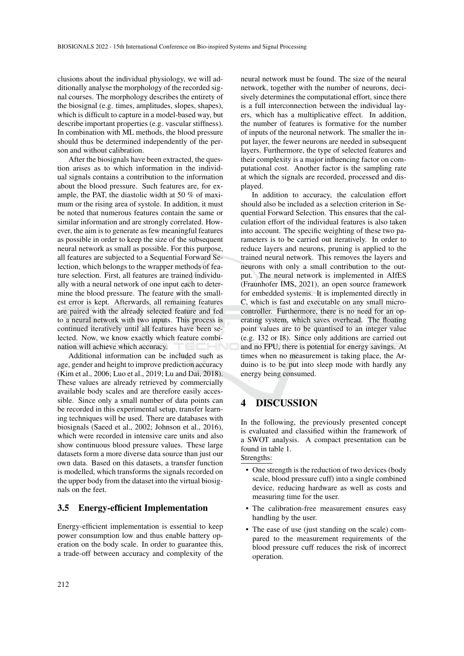clusions about the individual physiology, we will additionally analyse the morphology of the recorded signal courses. The morphology describes the entirety of the biosignal (e.g. times, amplitudes, slopes, shapes), which is difficult to capture in a model-based way, but describe important properties (e.g. vascular stiffness). In combination with ML methods, the blood pressure should thus be determined independently of the person and without calibration.

After the biosignals have been extracted, the question arises as to which information in the individual signals contains a contribution to the information about the blood pressure. Such features are, for example, the PAT, the diastolic width at 50 % of maximum or the rising area of systole. In addition, it must be noted that numerous features contain the same or similar information and are strongly correlated. However, the aim is to generate as few meaningful features as possible in order to keep the size of the subsequent neural network as small as possible. For this purpose, all features are subjected to a Sequential Forward Selection, which belongs to the wrapper methods of feature selection. First, all features are trained individually with a neural network of one input each to determine the blood pressure. The feature with the smallest error is kept. Afterwards, all remaining features are paired with the already selected feature and fed to a neural network with two inputs. This process is continued iteratively until all features have been selected. Now, we know exactly which feature combination will achieve which accuracy.

Additional information can be included such as age, gender and height to improve prediction accuracy (Kim et al., 2006; Luo et al., 2019; Lu and Dai, 2018). These values are already retrieved by commercially available body scales and are therefore easily accessible. Since only a small number of data points can be recorded in this experimental setup, transfer learning techniques will be used. There are databases with biosignals (Saeed et al., 2002; Johnson et al., 2016), which were recorded in intensive care units and also show continuous blood pressure values. These large datasets form a more diverse data source than just our own data. Based on this datasets, a transfer function is modelled, which transforms the signals recorded on the upper body from the dataset into the virtual biosignals on the feet.

### 3.5 Energy-efficient Implementation

Energy-efficient implementation is essential to keep power consumption low and thus enable battery operation on the body scale. In order to guarantee this, a trade-off between accuracy and complexity of the

neural network must be found. The size of the neural network, together with the number of neurons, decisively determines the computational effort, since there is a full interconnection between the individual layers, which has a multiplicative effect. In addition, the number of features is formative for the number of inputs of the neuronal network. The smaller the input layer, the fewer neurons are needed in subsequent layers. Furthermore, the type of selected features and their complexity is a major influencing factor on computational cost. Another factor is the sampling rate at which the signals are recorded, processed and displayed.

In addition to accuracy, the calculation effort should also be included as a selection criterion in Sequential Forward Selection. This ensures that the calculation effort of the individual features is also taken into account. The specific weighting of these two parameters is to be carried out iteratively. In order to reduce layers and neurons, pruning is applied to the trained neural network. This removes the layers and neurons with only a small contribution to the output. The neural network is implemented in AIfES (Fraunhofer IMS, 2021), an open source framework for embedded systems. It is implemented directly in C, which is fast and executable on any small microcontroller. Furthermore, there is no need for an operating system, which saves overhead. The floating point values are to be quantised to an integer value (e.g. I32 or I8). Since only additions are carried out and no FPU, there is potential for energy savings. At times when no measurement is taking place, the Arduino is to be put into sleep mode with hardly any energy being consumed.

### 4 DISCUSSION

In the following, the previously presented concept is evaluated and classified within the framework of a SWOT analysis. A compact presentation can be found in table 1.

## Strengths:

- One strength is the reduction of two devices (body scale, blood pressure cuff) into a single combined device, reducing hardware as well as costs and measuring time for the user.
- The calibration-free measurement ensures easy handling by the user.
- The ease of use (just standing on the scale) compared to the measurement requirements of the blood pressure cuff reduces the risk of incorrect operation.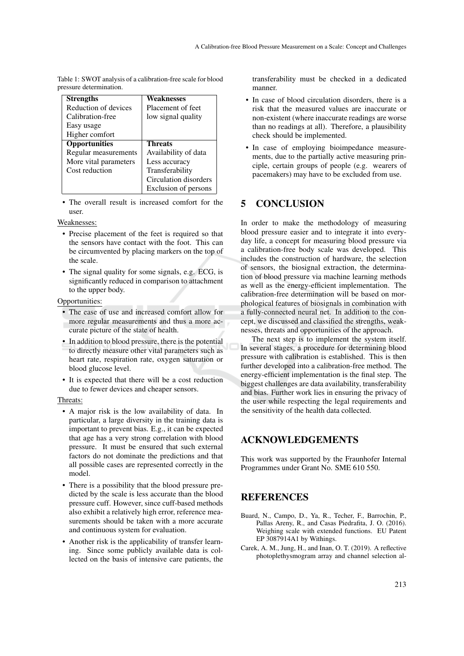| лезміс цекліппаноп. |                       |                       |
|---------------------|-----------------------|-----------------------|
|                     | <b>Strengths</b>      | Weaknesses            |
|                     | Reduction of devices  | Placement of feet     |
|                     | Calibration-free      | low signal quality    |
|                     | Easy usage            |                       |
|                     | Higher comfort        |                       |
|                     | <b>Opportunities</b>  | <b>Threats</b>        |
|                     | Regular measurements  | Availability of data  |
|                     | More vital parameters | Less accuracy         |
|                     | Cost reduction        | Transferability       |
|                     |                       | Circulation disorders |
|                     |                       |                       |

Table 1: SWOT analysis of a calibration-free scale for blood pressure determination.

• The overall result is increased comfort for the user.

Exclusion of persons

Weaknesses:

- Precise placement of the feet is required so that the sensors have contact with the foot. This can be circumvented by placing markers on the top of the scale.
- The signal quality for some signals, e.g. ECG, is significantly reduced in comparison to attachment to the upper body.

#### Opportunities:

- The ease of use and increased comfort allow for more regular measurements and thus a more accurate picture of the state of health.
- In addition to blood pressure, there is the potential to directly measure other vital parameters such as heart rate, respiration rate, oxygen saturation or blood glucose level.
- It is expected that there will be a cost reduction due to fewer devices and cheaper sensors.

#### Threats:

- A major risk is the low availability of data. In particular, a large diversity in the training data is important to prevent bias. E.g., it can be expected that age has a very strong correlation with blood pressure. It must be ensured that such external factors do not dominate the predictions and that all possible cases are represented correctly in the model.
- There is a possibility that the blood pressure predicted by the scale is less accurate than the blood pressure cuff. However, since cuff-based methods also exhibit a relatively high error, reference measurements should be taken with a more accurate and continuous system for evaluation.
- Another risk is the applicability of transfer learning. Since some publicly available data is collected on the basis of intensive care patients, the

transferability must be checked in a dedicated manner.

- In case of blood circulation disorders, there is a risk that the measured values are inaccurate or non-existent (where inaccurate readings are worse than no readings at all). Therefore, a plausibility check should be implemented.
- In case of employing bioimpedance measurements, due to the partially active measuring principle, certain groups of people (e.g. wearers of pacemakers) may have to be excluded from use.

### 5 CONCLUSION

In order to make the methodology of measuring blood pressure easier and to integrate it into everyday life, a concept for measuring blood pressure via a calibration-free body scale was developed. This includes the construction of hardware, the selection of sensors, the biosignal extraction, the determination of blood pressure via machine learning methods as well as the energy-efficient implementation. The calibration-free determination will be based on morphological features of biosignals in combination with a fully-connected neural net. In addition to the concept, we discussed and classified the strengths, weaknesses, threats and opportunities of the approach.

The next step is to implement the system itself. In several stages, a procedure for determining blood pressure with calibration is established. This is then further developed into a calibration-free method. The energy-efficient implementation is the final step. The biggest challenges are data availability, transferability and bias. Further work lies in ensuring the privacy of the user while respecting the legal requirements and the sensitivity of the health data collected.

### ACKNOWLEDGEMENTS

This work was supported by the Fraunhofer Internal Programmes under Grant No. SME 610 550.

### REFERENCES

- Buard, N., Campo, D., Ya, R., Techer, F., Barrochin, P., Pallas Areny, R., and Casas Piedrafita, J. O. (2016). Weighing scale with extended functions. EU Patent EP 3087914A1 by Withings.
- Carek, A. M., Jung, H., and Inan, O. T. (2019). A reflective photoplethysmogram array and channel selection al-